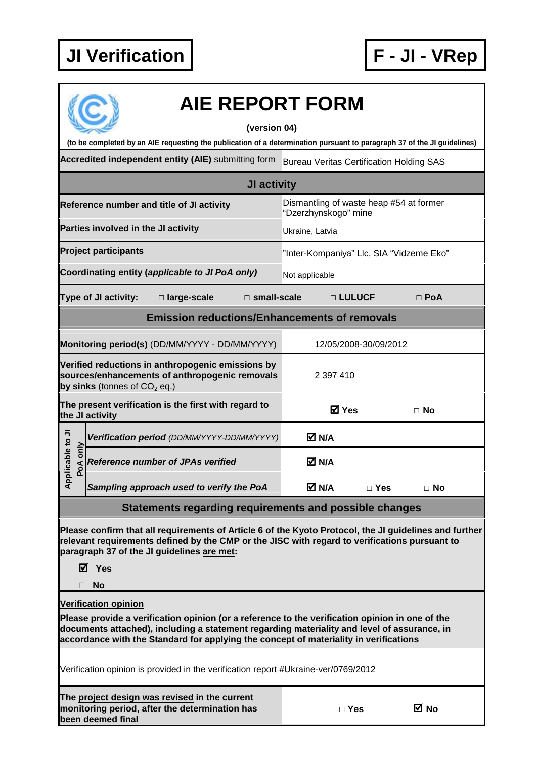**monitoring period, after the determination has** 

**been deemed final** 



**□ Yes No** 

| <b>AIE REPORT FORM</b>                                                                                                                                                                                                                                                                  |                                                                 |               |            |  |  |  |  |
|-----------------------------------------------------------------------------------------------------------------------------------------------------------------------------------------------------------------------------------------------------------------------------------------|-----------------------------------------------------------------|---------------|------------|--|--|--|--|
| (version 04)<br>(to be completed by an AIE requesting the publication of a determination pursuant to paragraph 37 of the JI guidelines)                                                                                                                                                 |                                                                 |               |            |  |  |  |  |
| Accredited independent entity (AIE) submitting form<br><b>Bureau Veritas Certification Holding SAS</b>                                                                                                                                                                                  |                                                                 |               |            |  |  |  |  |
| JI activity                                                                                                                                                                                                                                                                             |                                                                 |               |            |  |  |  |  |
| Reference number and title of JI activity                                                                                                                                                                                                                                               | Dismantling of waste heap #54 at former<br>"Dzerzhynskogo" mine |               |            |  |  |  |  |
| Parties involved in the JI activity                                                                                                                                                                                                                                                     | Ukraine, Latvia                                                 |               |            |  |  |  |  |
| <b>Project participants</b>                                                                                                                                                                                                                                                             | "Inter-Kompaniya" Llc, SIA "Vidzeme Eko"                        |               |            |  |  |  |  |
| Coordinating entity (applicable to JI PoA only)                                                                                                                                                                                                                                         | Not applicable                                                  |               |            |  |  |  |  |
| <b>Type of JI activity:</b><br>□ large-scale<br>$\Box$ small-scale                                                                                                                                                                                                                      |                                                                 | □ LULUCF      | $\Box$ PoA |  |  |  |  |
| <b>Emission reductions/Enhancements of removals</b>                                                                                                                                                                                                                                     |                                                                 |               |            |  |  |  |  |
| Monitoring period(s) (DD/MM/YYYY - DD/MM/YYYY)                                                                                                                                                                                                                                          | 12/05/2008-30/09/2012                                           |               |            |  |  |  |  |
| Verified reductions in anthropogenic emissions by<br>sources/enhancements of anthropogenic removals<br>by sinks (tonnes of $CO2$ eq.)                                                                                                                                                   | 2 397 410                                                       |               |            |  |  |  |  |
| The present verification is the first with regard to<br>the JI activity                                                                                                                                                                                                                 | <b>☑</b> Yes                                                    |               | □ No       |  |  |  |  |
| Verification period (DD/MM/YYYY-DD/MM/YYYY)                                                                                                                                                                                                                                             | <b>⊠</b> N/A                                                    |               |            |  |  |  |  |
| pplicable to JI<br>PoA only<br><b>Reference number of JPAs verified</b>                                                                                                                                                                                                                 | M N/A                                                           |               |            |  |  |  |  |
| ⋖<br>Sampling approach used to verify the PoA                                                                                                                                                                                                                                           | M N/A                                                           | $\square$ Yes | $\Box$ No  |  |  |  |  |
| Statements regarding requirements and possible changes                                                                                                                                                                                                                                  |                                                                 |               |            |  |  |  |  |
| Please confirm that all requirements of Article 6 of the Kyoto Protocol, the JI guidelines and further<br>relevant requirements defined by the CMP or the JISC with regard to verifications pursuant to<br>paragraph 37 of the JI guidelines are met:<br>M Yes                          |                                                                 |               |            |  |  |  |  |
| <b>No</b>                                                                                                                                                                                                                                                                               |                                                                 |               |            |  |  |  |  |
| <b>Verification opinion</b>                                                                                                                                                                                                                                                             |                                                                 |               |            |  |  |  |  |
| Please provide a verification opinion (or a reference to the verification opinion in one of the<br>documents attached), including a statement regarding materiality and level of assurance, in<br>accordance with the Standard for applying the concept of materiality in verifications |                                                                 |               |            |  |  |  |  |
| Verification opinion is provided in the verification report #Ukraine-ver/0769/2012                                                                                                                                                                                                      |                                                                 |               |            |  |  |  |  |
| The project design was revised in the current                                                                                                                                                                                                                                           |                                                                 |               |            |  |  |  |  |